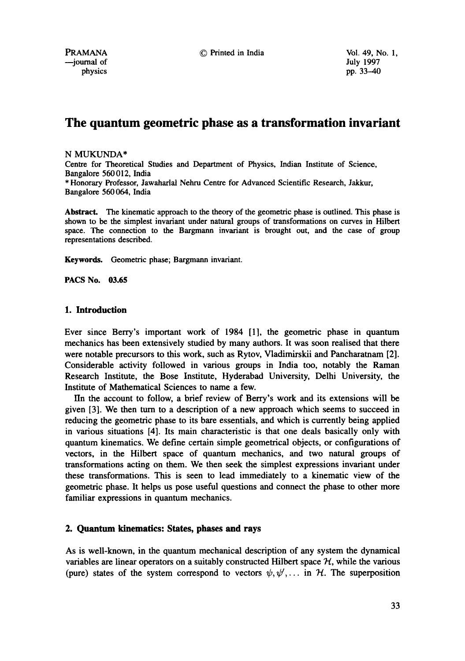PRAMANA © Printed in India Vol. 49, No. 1,

# **The quantum geometric phase as a transformation invariant**

## N MUKUNDA\*

Centre for Theoretical Studies and Department of Physics, Indian Institute of Science, Bangalore 560012, India \* Honorary Professor, Jawaharlal Nehru Centre for Advanced Scientific Research, Jakkur, Bangalore 560 064, India

Abstract. The kinematic approach to the theory of the geometric phase is outlined. This phase is shown to be the simplest invariant under natural groups of transformations on curves in Hilbert space. The connection to the Bargmann invariant is brought out, and the case of group representations described.

**Keywords.** Geometric phase; Bargmann invariant.

**PACS No. 03.65** 

# **1. Introduction**

Ever since Berry's important work of 1984 [1], the geometric phase in quantum mechanics has been extensively studied by many authors. It was soon realised that there were notable precursors to this work, such as Rytov, Vladimirskii and Pancharatnam [2]. Considerable activity followed in various groups in India too, notably the Raman Research Institute, the Bose Institute, Hyderabad University, Delhi University, the Institute of Mathematical Sciences to name a few.

IIn the account to follow, a brief review of Berry's work and its extensions will be given [3]. We then turn to a description of a new approach which seems to succeed in reducing the geometric phase to its bare essentials, and which is currently being applied in various situations [4]. Its main characteristic is that one deals basically only with quantum kinematics. We define certain simple geometrical objects, or configurations of vectors, in the Hilbert space of quantum mechanics, and two natural groups of transformations acting on them. We then seek the simplest expressions invariant under these transformations. This is seen to lead immediately to a kinematic view of the geometric phase. It helps us pose useful questions and connect the phase to other more familiar expressions in quantum mechanics.

# **2. Quantum kinematics: States, phases and rays**

As is well-known, in the quantum mechanical description of any system the dynamical variables are linear operators on a suitably constructed Hilbert space  $H$ , while the various (pure) states of the system correspond to vectors  $\psi, \psi', \dots$  in  $\mathcal{H}$ . The superposition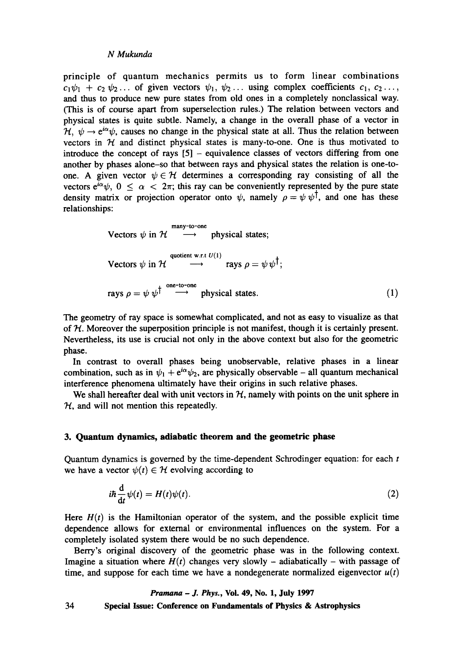principle of quantum mechanics permits us to form linear combinations  $c_1\psi_1 + c_2 \psi_2 \ldots$  of given vectors  $\psi_1, \psi_2 \ldots$  using complex coefficients  $c_1, c_2 \ldots$ , and thus to produce new pure states from old ones in a completely nonclassical way. (This is of course apart from superselection rules.) The relation between vectors and physical states is quite subtle. Namely, a change in the overall phase of a vector in  $\mathcal{H}, \psi \rightarrow e^{i\alpha}\psi$ , causes no change in the physical state at all. Thus the relation between vectors in  $H$  and distinct physical states is many-to-one. One is thus motivated to introduce the concept of rays  $[5]$  - equivalence classes of vectors differing from one another by phases alone-so that between rays and physical states the relation is one-toone. A given vector  $\psi \in H$  determines a corresponding ray consisting of all the vectors  $e^{i\alpha}\psi$ ,  $0 \le \alpha < 2\pi$ ; this ray can be conveniently represented by the pure state density matrix or projection operator onto  $\psi$ , namely  $\rho = \psi \psi^{\dagger}$ , and one has these relationships:

Vectors 
$$
\psi
$$
 in  $\mathcal{H} \longrightarrow$  physical states;  
\nVectors  $\psi$  in  $\mathcal{H} \longrightarrow$   $\longrightarrow$  rays  $\rho = \psi \psi^{\dagger}$ ;  
\nrays  $\rho = \psi \psi^{\dagger} \longrightarrow$  physical states. (1)

The geometry of ray space is somewhat complicated, and not as easy to visualize as that of  $H$ . Moreover the superposition principle is not manifest, though it is certainly present. Nevertheless, its use is crucial not only in the above context but also for the geometric phase.

In contrast to overall phases being unobservable, relative phases in a linear combination, such as in  $\psi_1 + e^{i\alpha}\psi_2$ , are physically observable - all quantum mechanical interference phenomena ultimately have their origins in such relative phases.

We shall hereafter deal with unit vectors in  $H$ , namely with points on the unit sphere in  $H$ , and will not mention this repeatedly.

#### **3. Quantum dynamics, adiabatic theorem and the geometric phase**

Quantum dynamics is governed by the time-dependent Schrodinger equation: for each  $t$ we have a vector  $\psi(t) \in \mathcal{H}$  evolving according to

$$
i\hbar \frac{\mathrm{d}}{\mathrm{d}t} \psi(t) = H(t)\psi(t). \tag{2}
$$

Here  $H(t)$  is the Hamiltonian operator of the system, and the possible explicit time dependence allows for external or environmental influences on the system. For a completely isolated system there would be no such dependence.

Berry's original discovery of the geometric phase was in the following context. Imagine a situation where  $H(t)$  changes very slowly – adiabatically – with passage of time, and suppose for each time we have a nondegenerate normalized eigenvector  $u(t)$ 

#### *Pramana - J. Phys.,* Vol. 49, No. 1, July 1997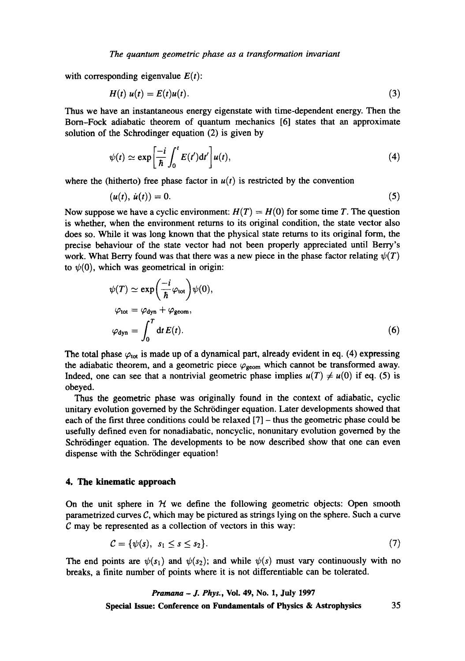#### *The quantum geometric phase as a transformation invariant*

with corresponding eigenvalue  $E(t)$ :

$$
H(t) \, u(t) = E(t)u(t). \tag{3}
$$

Thus we have an instantaneous energy eigenstate with time-dependent energy. Then the Born-Fock adiabatic theorem of quantum mechanics [6] states that an approximate solution of the Schrodinger equation (2) is given by

$$
\psi(t) \simeq \exp\left[\frac{-i}{\hbar} \int_0^t E(t') dt'\right] u(t),\tag{4}
$$

where the (hitherto) free phase factor in  $u(t)$  is restricted by the convention

$$
(u(t), \dot{u}(t)) = 0. \tag{5}
$$

Now suppose we have a cyclic environment:  $H(T) = H(0)$  for some time T. The question is whether, when the environment returns to its original condition, the state vector also does so. While it was long known that the physical state returns to its original form, the precise behaviour of the state vector had not been properly appreciated until Berry's work. What Berry found was that there was a new piece in the phase factor relating  $\psi(T)$ to  $\psi(0)$ , which was geometrical in origin:

$$
\psi(T) \simeq \exp\left(\frac{-i}{\hbar}\varphi_{\text{tot}}\right)\psi(0),
$$
  
\n
$$
\varphi_{\text{tot}} = \varphi_{\text{dyn}} + \varphi_{\text{geom}},
$$
  
\n
$$
\varphi_{\text{dyn}} = \int_0^T \mathrm{d}t \, E(t).
$$
\n(6)

The total phase  $\varphi_{\text{tot}}$  is made up of a dynamical part, already evident in eq. (4) expressing the adiabatic theorem, and a geometric piece  $\varphi_{\text{geom}}$  which cannot be transformed away. Indeed, one can see that a nontrivial geometric phase implies  $u(T) \neq u(0)$  if eq. (5) is obeyed.

Thus the geometric phase was originally found in the context of adiabatic, cyclic unitary evolution governed by the Schrrdinger equation. Later developments showed that each of the first three conditions could be relaxed [7] - thus the geometric phase could be usefully defined even for nonadiabatic, noncyclic, nonunitary evolution governed by the Schrödinger equation. The developments to be now described show that one can even dispense with the Schrödinger equation!

### **4. The kinematic approach**

On the unit sphere in  $H$  we define the following geometric objects: Open smooth parametrized curves C, which may be pictured as strings lying on the sphere. Such a curve  $C$  may be represented as a collection of vectors in this way:

$$
\mathcal{C} = \{\psi(s), \, s_1 \leq s \leq s_2\}. \tag{7}
$$

The end points are  $\psi(s_1)$  and  $\psi(s_2)$ ; and while  $\psi(s)$  must vary continuously with no breaks, a finite number of points where it is not differentiable can be tolerated.

> *Pramana - J. Phys.,* Vol. 49, No. 1, July 1997 **Special Issue: Conference on Fundamentals of Physics & Astrophysics** 35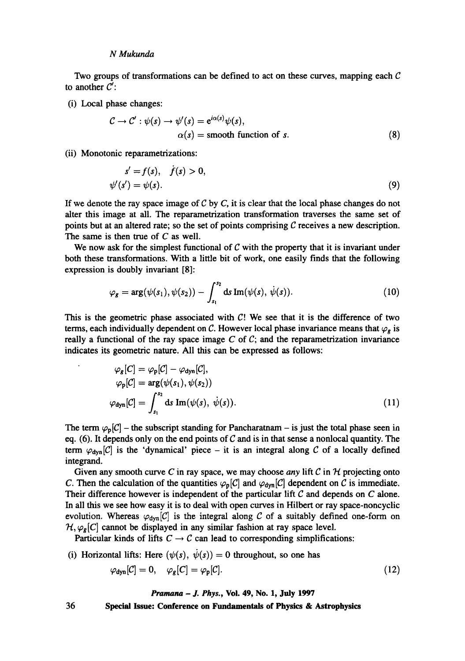Two groups of transformations can be defined to act on these curves, mapping each  $\mathcal C$ to another  $\mathcal{C}'$ :

(i) Local phase changes:

$$
C \to C': \psi(s) \to \psi'(s) = e^{i\alpha(s)}\psi(s),
$$
  
\n
$$
\alpha(s) = \text{smooth function of } s.
$$
 (8)

(ii) Monotonic reparametrizations:

$$
s' = f(s), \quad f(s) > 0,
$$
  

$$
\psi'(s') = \psi(s).
$$
 (9)

If we denote the ray space image of  $C$  by  $C$ , it is clear that the local phase changes do not alter this image at all. The reparametrization transformation traverses the same set of points but at an altered rate; so the set of points comprising  $C$  receives a new description. The same is then true of  $C$  as well.

We now ask for the simplest functional of  $C$  with the property that it is invariant under both these transformations. With a little bit of work, one easily finds that the following expression is doubly invariant [8]:

$$
\varphi_{g} = \arg(\psi(s_1), \psi(s_2)) - \int_{s_1}^{s_2} ds \operatorname{Im}(\psi(s), \dot{\psi}(s)). \tag{10}
$$

This is the geometric phase associated with  $C!$  We see that it is the difference of two terms, each individually dependent on C. However local phase invariance means that  $\varphi$ , is really a functional of the ray space image C of C; and the reparametrization invariance indicates its geometric nature. All this can be expressed as follows:

$$
\varphi_s[C] = \varphi_p[C] - \varphi_{\text{dyn}}[C],
$$
  
\n
$$
\varphi_p[C] = \arg(\psi(s_1), \psi(s_2))
$$
  
\n
$$
\varphi_{\text{dyn}}[C] = \int_{s_1}^{s_2} ds \operatorname{Im}(\psi(s), \psi(s)).
$$
\n(11)

The term  $\varphi_p[C]$  – the subscript standing for Pancharatnam – is just the total phase seen in eq. (6). It depends only on the end points of  $C$  and is in that sense a nonlocal quantity. The term  $\varphi_{\text{dyn}}[C]$  is the 'dynamical' piece – it is an integral along C of a locally defined integrand.

Given any smooth curve C in ray space, we may choose *any* lift C in  $H$  projecting onto C. Then the calculation of the quantities  $\varphi_{\mathsf{D}}[C]$  and  $\varphi_{\text{dyn}}[C]$  dependent on C is immediate. Their difference however is independent of the particular lift  $C$  and depends on  $C$  alone. In all this we see how easy it is to deal with open curves in Hilbert or ray space-noncyclic evolution. Whereas  $\varphi_{dyn}[C]$  is the integral along C of a suitably defined one-form on  $\mathcal{H}, \varphi_{\mathbf{g}}[C]$  cannot be displayed in any similar fashion at ray space level.

Particular kinds of lifts  $C \rightarrow C$  can lead to corresponding simplifications:

(i) Horizontal lifts: Here  $(\psi(s), \dot{\psi}(s)) = 0$  throughout, so one has

$$
\varphi_{\rm dyn}[C] = 0, \quad \varphi_g[C] = \varphi_p[C]. \tag{12}
$$

*Pramana - J. Phys.,* **Vol. 49, No. 1, July 1997**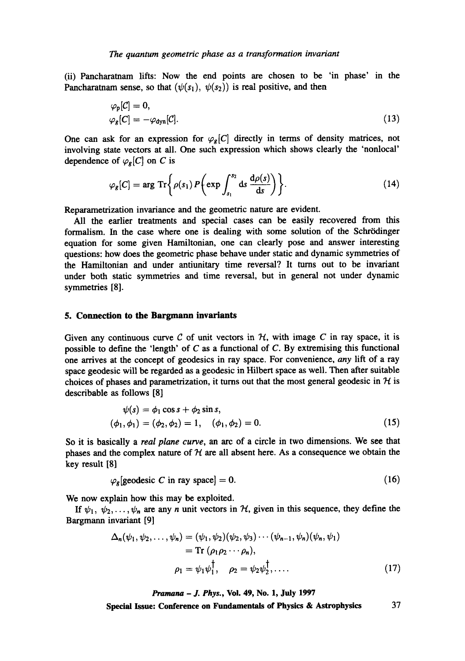(ii) Pancharatnam lifts: Now the end points are chosen to be 'in phase' in the Pancharatnam sense, so that  $(\psi(s_1), \psi(s_2))$  is real positive, and then

$$
\varphi_{\mathsf{p}}[\mathcal{C}] = 0, \n\varphi_{\mathsf{g}}[\mathcal{C}] = -\varphi_{\mathsf{dyn}}[\mathcal{C}].
$$
\n(13)

One can ask for an expression for  $\varphi_g[C]$  directly in terms of density matrices, not involving state vectors at all. One such expression which shows clearly the 'nonlocal' dependence of  $\varphi_{g}[C]$  on C is

$$
\varphi_{g}[C] = \arg \operatorname{Tr} \left\{ \rho(s_1) P \left( \exp \int_{s_1}^{s_2} ds \, \frac{d\rho(s)}{ds} \right) \right\}.
$$
 (14)

Reparametrization invariance and the geometric nature are evident.

All the earlier treatments and special cases can be easily recovered from this formalism. In the case where one is dealing with some solution of the Schrödinger equation for some given Hamiltonian, one can clearly pose and answer interesting questions: how does the geometric phase behave under static and dynamic symmetries of the Hamiltonian and under antiunitary time reversal? It turns out to be invariant under both static symmetries and time reversal, but in general not under dynamic symmetries [8].

## **5. Connection to the Bargmann invariants**

Given any continuous curve  $C$  of unit vectors in  $H$ , with image  $C$  in ray space, it is possible to define the 'length' of  $C$  as a functional of  $C$ . By extremising this functional one arrives at the concept of geodesics in ray space. For convenience, *any* lift of a ray space geodesic will be regarded as a geodesic in Hilbert space as well. Then after suitable choices of phases and parametrization, it turns out that the most general geodesic in  $\mathcal H$  is describable as follows [8]

$$
\psi(s) = \phi_1 \cos s + \phi_2 \sin s,(\phi_1, \phi_1) = (\phi_2, \phi_2) = 1, \quad (\phi_1, \phi_2) = 0.
$$
\n(15)

So it is basically a *real plane curve,* an arc of a circle in two dimensions. We see that phases and the complex nature of  $H$  are all absent here. As a consequence we obtain the key result [8]

$$
\varphi_s[\text{geodesic } C \text{ in ray space}] = 0. \tag{16}
$$

We now explain how this may be exploited.

If  $\psi_1, \psi_2, \ldots, \psi_n$  are any n unit vectors in H, given in this sequence, they define the Bargmann invariant [9]

$$
\Delta_n(\psi_1, \psi_2, \dots, \psi_n) = (\psi_1, \psi_2)(\psi_2, \psi_3) \cdots (\psi_{n-1}, \psi_n)(\psi_n, \psi_1)
$$
  
= Tr  $(\rho_1 \rho_2 \cdots \rho_n),$   

$$
\rho_1 = \psi_1 \psi_1^\dagger, \quad \rho_2 = \psi_2 \psi_2^\dagger, \dots
$$
 (17)

*Pramana - J. Phys.,* Vol. 49, No. 1, July 1997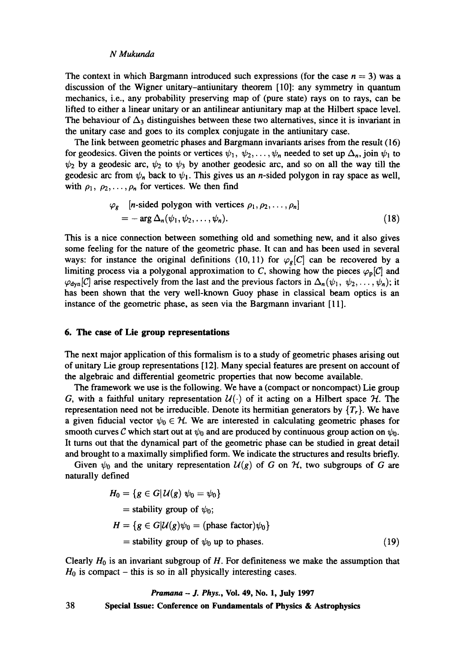The context in which Bargmann introduced such expressions (for the case  $n = 3$ ) was a discussion of the Wigner unitary-antiunitary theorem [10]: any symmetry in quantum mechanics, i.e., any probability preserving map of (pure state) rays on to rays, can be lifted to either a linear unitary or an antilinear antiunitary map at the Hilbert space level. The behaviour of  $\Delta_3$  distinguishes between these two alternatives, since it is invariant in the unitary case and goes to its complex conjugate in the antiunitary case.

The link between geometric phases and Bargmann invariants arises from the result (16) for geodesics. Given the points or vertices  $\psi_1, \psi_2, \ldots, \psi_n$  needed to set up  $\Delta_n$ , join  $\psi_1$  to  $\psi_2$  by a geodesic arc,  $\psi_2$  to  $\psi_3$  by another geodesic arc, and so on all the way till the geodesic arc from  $\psi_n$  back to  $\psi_1$ . This gives us an *n*-sided polygon in ray space as well, with  $\rho_1, \rho_2, \ldots, \rho_n$  for vertices. We then find

$$
\varphi_g \quad [n\text{-sided polygon with vertices } \rho_1, \rho_2, \dots, \rho_n]
$$
  
=  $-\arg \Delta_n(\psi_1, \psi_2, \dots, \psi_n).$  (18)

This is a nice connection between something old and something new, and it also gives some feeling for the nature of the geometric phase. It can and has been used in several ways: for instance the original definitions (10, 11) for  $\varphi_g[C]$  can be recovered by a limiting process via a polygonal approximation to C, showing how the pieces  $\varphi_p[C]$  and  $\varphi_{dyn}[C]$  arise respectively from the last and the previous factors in  $\Delta_n(\psi_1, \psi_2,\ldots, \psi_n)$ ; it has been shown that the very well-known Guoy phase in classical beam optics is an instance of the geometric phase, as seen via the Bargmann invariant [11].

### **6. The case of Lie group representations**

The next major application of this formalism is to a study of geometric phases arising out of unitary Lie group representations [12]. Many special features are present on account of the algebraic and differential geometric properties that now become available.

The framework we use is the following. We have a (compact or noncompact) Lie group G, with a faithful unitary representation  $\mathcal{U}(\cdot)$  of it acting on a Hilbert space  $\mathcal{H}$ . The representation need not be irreducible. Denote its hermitian generators by  $\{T_r\}$ . We have a given fiducial vector  $\psi_0 \in \mathcal{H}$ . We are interested in calculating geometric phases for smooth curves C which start out at  $\psi_0$  and are produced by continuous group action on  $\psi_0$ . It turns out that the dynamical part of the geometric phase can be studied in great detail and brought to a maximally simplified form. We indicate the structures and results briefly.

Given  $\psi_0$  and the unitary representation  $\mathcal{U}(g)$  of G on  $\mathcal{H}$ , two subgroups of G are naturally defined

$$
H_0 = \{ g \in G | \mathcal{U}(g) \ \psi_0 = \psi_0 \}
$$
  
= stability group of  $\psi_0$ ;  

$$
H = \{ g \in G | \mathcal{U}(g) \psi_0 = (\text{phase factor}) \psi_0 \}
$$
  
= stability group of  $\psi_0$  up to phases. (19)

Clearly  $H_0$  is an invariant subgroup of H. For definiteness we make the assumption that  $H_0$  is compact – this is so in all physically interesting cases.

38 *Pramana - J. Phys.,* Vol. 49, No. 1, July 1997 **Special Issue: Conference on Fundamentals of Physics & Astrophysics**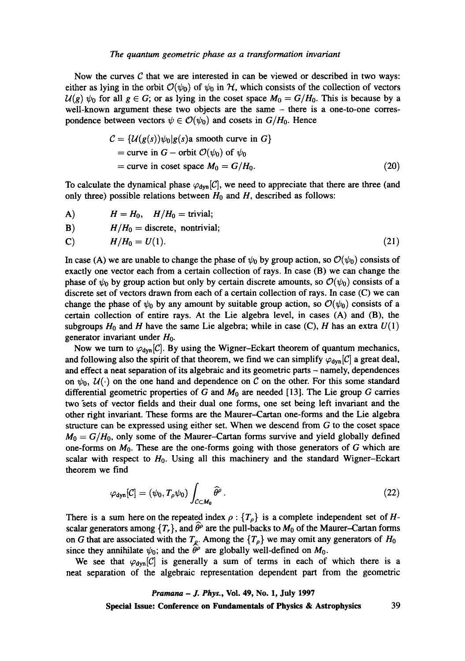Now the curves  $C$  that we are interested in can be viewed or described in two ways: either as lying in the orbit  $\mathcal{O}(\psi_0)$  of  $\psi_0$  in  $H$ , which consists of the collection of vectors  $\mathcal{U}(g)$   $\psi_0$  for all  $g \in G$ ; or as lying in the coset space  $M_0 = G/H_0$ . This is because by a well-known argument these two objects are the same - there is a one-to-one correspondence between vectors  $\psi \in \mathcal{O}(\psi_0)$  and cosets in  $G/H_0$ . Hence

$$
C = \{U(g(s))\psi_0|g(s) \text{ a smooth curve in } G\}
$$
  
= curve in G - orbit  $O(\psi_0)$  of  $\psi_0$   
= curve in coset space  $M_0 = G/H_0$ . (20)

To calculate the dynamical phase  $\varphi_{\text{dyn}}[C]$ , we need to appreciate that there are three (and only three) possible relations between  $H_0$  and  $H$ , described as follows:

$$
H = H_0, \quad H/H_0 = \text{trivial};
$$

B)  $H/H_0 =$  discrete, nontrivial;

$$
H/H_0 = U(1). \t\t(21)
$$

In case (A) we are unable to change the phase of  $\psi_0$  by group action, so  $\mathcal{O}(\psi_0)$  consists of exactly one vector each from a certain collection of rays. In case (B) we can change the phase of  $\psi_0$  by group action but only by certain discrete amounts, so  $\mathcal{O}(\psi_0)$  consists of a discrete set of vectors drawn from each of a certain collection of rays. In case (C) we can change the phase of  $\psi_0$  by any amount by suitable group action, so  $\mathcal{O}(\psi_0)$  consists of a certain collection of entire rays. At the Lie algebra level, in cases (A) and (B), the subgroups  $H_0$  and H have the same Lie algebra; while in case (C), H has an extra  $U(1)$ generator invariant under  $H_0$ .

Now we turn to  $\varphi_{dyn}[C]$ . By using the Wigner-Eckart theorem of quantum mechanics, and following also the spirit of that theorem, we find we can simplify  $\varphi_{dyn}[C]$  a great deal, and effect a neat separation of its algebraic and its geometric parts – namely, dependences on  $\psi_0, \mathcal{U}(\cdot)$  on the one hand and dependence on C on the other. For this some standard differential geometric properties of G and  $M_0$  are needed [13]. The Lie group G carries two "sets of vector fields and their dual one forms, one set being left invariant and the other right invariant. These forms are the Maurer-Cartan one-forms and the Lie algebra structure can be expressed using either set. When we descend from G to the coset space  $M_0 = G/H_0$ , only some of the Maurer-Cartan forms survive and yield globally defined one-forms on  $M_0$ . These are the one-forms going with those generators of G which are scalar with respect to  $H_0$ . Using all this machinery and the standard Wigner-Eckart theorem we find

$$
\varphi_{\text{dyn}}[\mathcal{C}] = (\psi_0, T_\rho \psi_0) \int_{\mathcal{C} \subset M_0} \widehat{\theta}^\rho \,. \tag{22}
$$

There is a sum here on the repeated index  $\rho$  :  $\{T_{\rho}\}\$  is a complete independent set of *H*scalar generators among  $\{T_r\}$ , and  $\widehat{\theta}^\rho$  are the pull-backs to  $M_0$  of the Maurer-Cartan forms on G that are associated with the  $T_p$ . Among the  $\{T_p\}$  we may omit any generators of  $H_0$ since they annihilate  $\psi_0$ ; and the  $\hat{\theta}^{\rho}$  are globally well-defined on  $M_0$ .

We see that  $\varphi_{\text{dyn}}[C]$  is generally a sum of terms in each of which there is a neat separation of the algebraic representation dependent part from the geometric

# *Pramana - y. Phys.,* **Vol. 49, No. 1, July 1997**